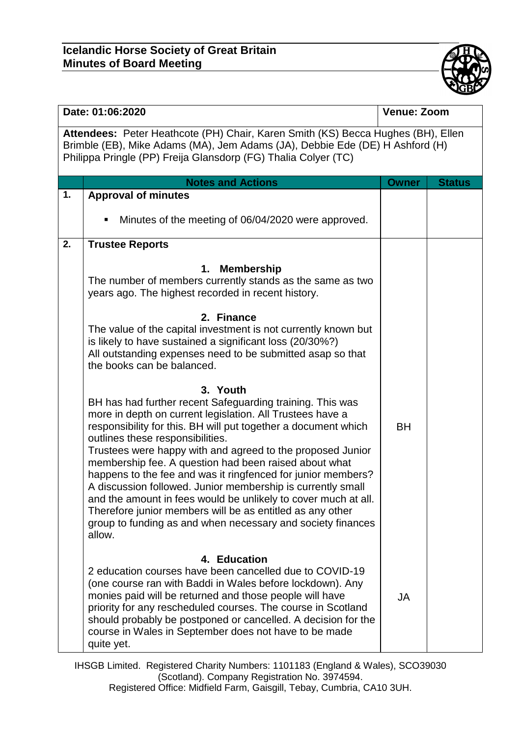

| Date: 01:06:2020                                                                                                                                                                                                                   |                                                                                                                                                                                                                                                                                                                                                                                                                                                                                                                                                                                                                                                                                                                                                                                                                                                                                      | <b>Venue: Zoom</b> |               |  |  |  |
|------------------------------------------------------------------------------------------------------------------------------------------------------------------------------------------------------------------------------------|--------------------------------------------------------------------------------------------------------------------------------------------------------------------------------------------------------------------------------------------------------------------------------------------------------------------------------------------------------------------------------------------------------------------------------------------------------------------------------------------------------------------------------------------------------------------------------------------------------------------------------------------------------------------------------------------------------------------------------------------------------------------------------------------------------------------------------------------------------------------------------------|--------------------|---------------|--|--|--|
| Attendees: Peter Heathcote (PH) Chair, Karen Smith (KS) Becca Hughes (BH), Ellen<br>Brimble (EB), Mike Adams (MA), Jem Adams (JA), Debbie Ede (DE) H Ashford (H)<br>Philippa Pringle (PP) Freija Glansdorp (FG) Thalia Colyer (TC) |                                                                                                                                                                                                                                                                                                                                                                                                                                                                                                                                                                                                                                                                                                                                                                                                                                                                                      |                    |               |  |  |  |
|                                                                                                                                                                                                                                    | <b>Notes and Actions</b>                                                                                                                                                                                                                                                                                                                                                                                                                                                                                                                                                                                                                                                                                                                                                                                                                                                             | <b>Owner</b>       | <b>Status</b> |  |  |  |
| 1.                                                                                                                                                                                                                                 | <b>Approval of minutes</b><br>Minutes of the meeting of 06/04/2020 were approved.                                                                                                                                                                                                                                                                                                                                                                                                                                                                                                                                                                                                                                                                                                                                                                                                    |                    |               |  |  |  |
| 2.                                                                                                                                                                                                                                 | <b>Trustee Reports</b>                                                                                                                                                                                                                                                                                                                                                                                                                                                                                                                                                                                                                                                                                                                                                                                                                                                               |                    |               |  |  |  |
|                                                                                                                                                                                                                                    | <b>Membership</b><br>1.<br>The number of members currently stands as the same as two<br>years ago. The highest recorded in recent history.<br>2. Finance<br>The value of the capital investment is not currently known but<br>is likely to have sustained a significant loss (20/30%?)<br>All outstanding expenses need to be submitted asap so that<br>the books can be balanced.<br>3. Youth<br>BH has had further recent Safeguarding training. This was<br>more in depth on current legislation. All Trustees have a<br>responsibility for this. BH will put together a document which<br>outlines these responsibilities.<br>Trustees were happy with and agreed to the proposed Junior<br>membership fee. A question had been raised about what<br>happens to the fee and was it ringfenced for junior members?<br>A discussion followed. Junior membership is currently small | <b>BH</b>          |               |  |  |  |
|                                                                                                                                                                                                                                    | and the amount in fees would be unlikely to cover much at all.<br>Therefore junior members will be as entitled as any other<br>group to funding as and when necessary and society finances<br>allow.                                                                                                                                                                                                                                                                                                                                                                                                                                                                                                                                                                                                                                                                                 |                    |               |  |  |  |
|                                                                                                                                                                                                                                    | 4. Education                                                                                                                                                                                                                                                                                                                                                                                                                                                                                                                                                                                                                                                                                                                                                                                                                                                                         |                    |               |  |  |  |
|                                                                                                                                                                                                                                    | 2 education courses have been cancelled due to COVID-19<br>(one course ran with Baddi in Wales before lockdown). Any<br>monies paid will be returned and those people will have<br>priority for any rescheduled courses. The course in Scotland<br>should probably be postponed or cancelled. A decision for the<br>course in Wales in September does not have to be made<br>quite yet.                                                                                                                                                                                                                                                                                                                                                                                                                                                                                              | <b>JA</b>          |               |  |  |  |

IHSGB Limited. Registered Charity Numbers: 1101183 (England & Wales), SCO39030 (Scotland). Company Registration No. 3974594. Registered Office: Midfield Farm, Gaisgill, Tebay, Cumbria, CA10 3UH.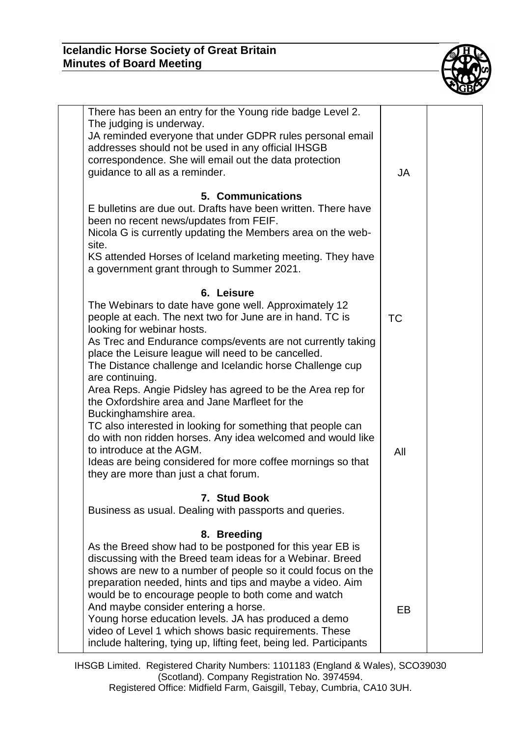## **Icelandic Horse Society of Great Britain Minutes of Board Meeting**



| There has been an entry for the Young ride badge Level 2.<br>The judging is underway.<br>JA reminded everyone that under GDPR rules personal email<br>addresses should not be used in any official IHSGB<br>correspondence. She will email out the data protection<br>guidance to all as a reminder.                                                                                                                                                                                                                                                      | JA  |  |
|-----------------------------------------------------------------------------------------------------------------------------------------------------------------------------------------------------------------------------------------------------------------------------------------------------------------------------------------------------------------------------------------------------------------------------------------------------------------------------------------------------------------------------------------------------------|-----|--|
| 5. Communications<br>E bulletins are due out. Drafts have been written. There have<br>been no recent news/updates from FEIF.<br>Nicola G is currently updating the Members area on the web-<br>site.<br>KS attended Horses of Iceland marketing meeting. They have<br>a government grant through to Summer 2021.                                                                                                                                                                                                                                          |     |  |
| 6. Leisure<br>The Webinars to date have gone well. Approximately 12<br>people at each. The next two for June are in hand. TC is<br>looking for webinar hosts.<br>As Trec and Endurance comps/events are not currently taking<br>place the Leisure league will need to be cancelled.<br>The Distance challenge and Icelandic horse Challenge cup<br>are continuing.                                                                                                                                                                                        | ТC  |  |
| Area Reps. Angie Pidsley has agreed to be the Area rep for<br>the Oxfordshire area and Jane Marfleet for the<br>Buckinghamshire area.<br>TC also interested in looking for something that people can<br>do with non ridden horses. Any idea welcomed and would like<br>to introduce at the AGM.<br>Ideas are being considered for more coffee mornings so that<br>they are more than just a chat forum.                                                                                                                                                   | All |  |
| 7. Stud Book<br>Business as usual. Dealing with passports and queries.                                                                                                                                                                                                                                                                                                                                                                                                                                                                                    |     |  |
| 8. Breeding<br>As the Breed show had to be postponed for this year EB is<br>discussing with the Breed team ideas for a Webinar. Breed<br>shows are new to a number of people so it could focus on the<br>preparation needed, hints and tips and maybe a video. Aim<br>would be to encourage people to both come and watch<br>And maybe consider entering a horse.<br>Young horse education levels. JA has produced a demo<br>video of Level 1 which shows basic requirements. These<br>include haltering, tying up, lifting feet, being led. Participants | EB  |  |

IHSGB Limited. Registered Charity Numbers: 1101183 (England & Wales), SCO39030 (Scotland). Company Registration No. 3974594. Registered Office: Midfield Farm, Gaisgill, Tebay, Cumbria, CA10 3UH.